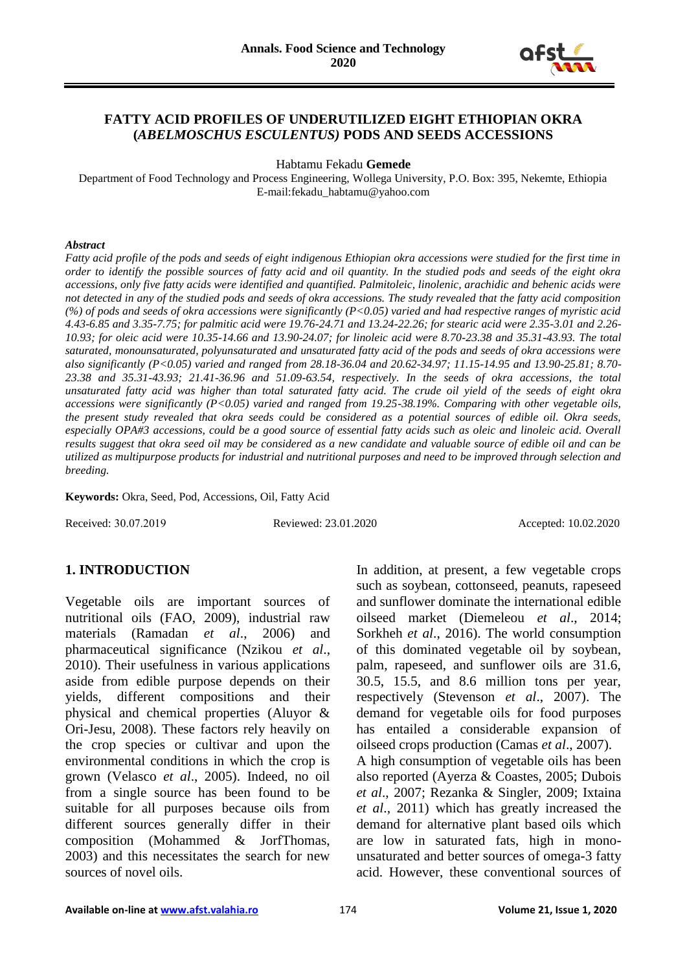

### **FATTY ACID PROFILES OF UNDERUTILIZED EIGHT ETHIOPIAN OKRA (***ABELMOSCHUS ESCULENTUS)* **PODS AND SEEDS ACCESSIONS**

Habtamu Fekadu **Gemede**

Department of Food Technology and Process Engineering, Wollega University, P.O. Box: 395, Nekemte, Ethiopia E-mail:fekadu\_habtamu@yahoo.com

#### *Abstract*

*Fatty acid profile of the pods and seeds of eight indigenous Ethiopian okra accessions were studied for the first time in order to identify the possible sources of fatty acid and oil quantity. In the studied pods and seeds of the eight okra accessions, only five fatty acids were identified and quantified. Palmitoleic, linolenic, arachidic and behenic acids were not detected in any of the studied pods and seeds of okra accessions. The study revealed that the fatty acid composition (%) of pods and seeds of okra accessions were significantly (P<0.05) varied and had respective ranges of myristic acid 4.43-6.85 and 3.35-7.75; for palmitic acid were 19.76-24.71 and 13.24-22.26; for stearic acid were 2.35-3.01 and 2.26- 10.93; for oleic acid were 10.35-14.66 and 13.90-24.07; for linoleic acid were 8.70-23.38 and 35.31-43.93. The total saturated, monounsaturated, polyunsaturated and unsaturated fatty acid of the pods and seeds of okra accessions were also significantly (P<0.05) varied and ranged from 28.18-36.04 and 20.62-34.97; 11.15-14.95 and 13.90-25.81; 8.70- 23.38 and 35.31-43.93; 21.41-36.96 and 51.09-63.54, respectively. In the seeds of okra accessions, the total unsaturated fatty acid was higher than total saturated fatty acid. The crude oil yield of the seeds of eight okra accessions were significantly (P<0.05) varied and ranged from 19.25-38.19%. Comparing with other vegetable oils, the present study revealed that okra seeds could be considered as a potential sources of edible oil. Okra seeds, especially OPA#3 accessions, could be a good source of essential fatty acids such as oleic and linoleic acid. Overall results suggest that okra seed oil may be considered as a new candidate and valuable source of edible oil and can be utilized as multipurpose products for industrial and nutritional purposes and need to be improved through selection and breeding.*

**Keywords:** Okra, Seed, Pod, Accessions, Oil, Fatty Acid

Received: 30.07.2019 Reviewed: 23.01.2020 Accepted: 10.02.2020

# **1. INTRODUCTION**

Vegetable oils are important sources of nutritional oils (FAO, 2009), industrial raw materials (Ramadan *et al*., 2006) and pharmaceutical significance (Nzikou *et al*., 2010). Their usefulness in various applications aside from edible purpose depends on their yields, different compositions and their physical and chemical properties (Aluyor & Ori-Jesu, 2008). These factors rely heavily on the crop species or cultivar and upon the environmental conditions in which the crop is grown (Velasco *et al*., 2005). Indeed, no oil from a single source has been found to be suitable for all purposes because oils from different sources generally differ in their composition (Mohammed & JorfThomas, 2003) and this necessitates the search for new sources of novel oils.

In addition, at present, a few vegetable crops such as soybean, cottonseed, peanuts, rapeseed and sunflower dominate the international edible oilseed market (Diemeleou *et al*., 2014; Sorkheh *et al*., 2016). The world consumption of this dominated vegetable oil by soybean, palm, rapeseed, and sunflower oils are 31.6, 30.5, 15.5, and 8.6 million tons per year, respectively (Stevenson *et al*., 2007). The demand for vegetable oils for food purposes has entailed a considerable expansion of oilseed crops production (Camas *et al*., 2007). A high consumption of vegetable oils has been also reported (Ayerza & Coastes, 2005; Dubois *et al*., 2007; Rezanka & Singler, 2009; Ixtaina *et al*., 2011) which has greatly increased the demand for alternative plant based oils which are low in saturated fats, high in monounsaturated and better sources of omega-3 fatty acid. However, these conventional sources of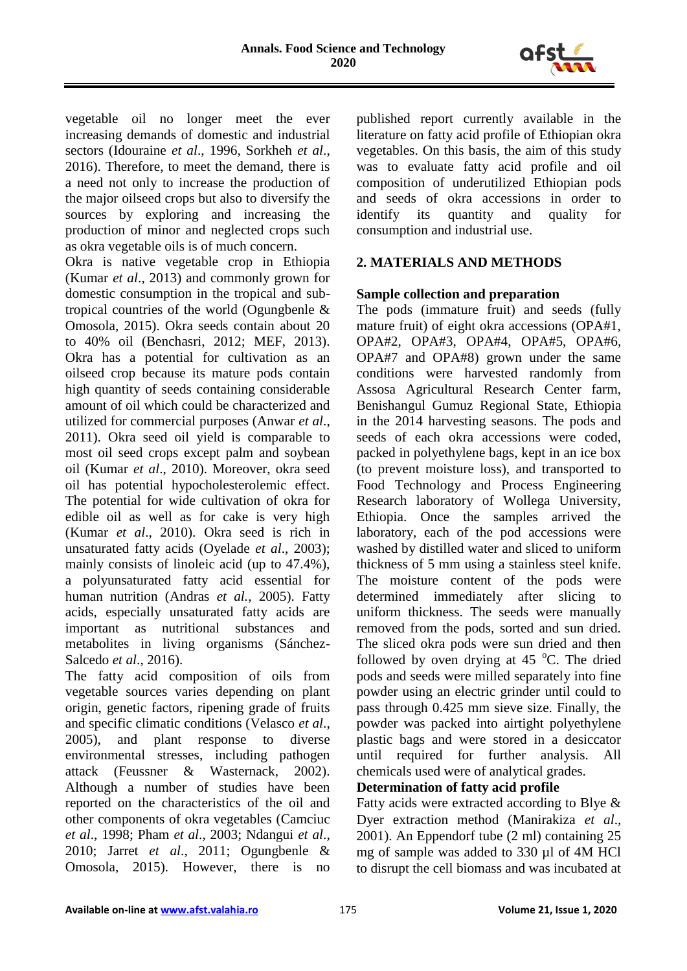

vegetable oil no longer meet the ever increasing demands of domestic and industrial sectors (Idouraine *et al*., 1996, Sorkheh *et al*., 2016). Therefore, to meet the demand, there is a need not only to increase the production of the major oilseed crops but also to diversify the sources by exploring and increasing the production of minor and neglected crops such as okra vegetable oils is of much concern.

Okra is native vegetable crop in Ethiopia (Kumar *et al*., 2013) and commonly grown for domestic consumption in the tropical and subtropical countries of the world (Ogungbenle & Omosola, 2015). Okra seeds contain about 20 to 40% oil (Benchasri, 2012; MEF, 2013). Okra has a potential for cultivation as an oilseed crop because its mature pods contain high quantity of seeds containing considerable amount of oil which could be characterized and utilized for commercial purposes (Anwar *et al*., 2011). Okra seed oil yield is comparable to most oil seed crops except palm and soybean oil (Kumar *et al*., 2010). Moreover, okra seed oil has potential hypocholesterolemic effect. The potential for wide cultivation of okra for edible oil as well as for cake is very high (Kumar *et al*., 2010). Okra seed is rich in unsaturated fatty acids (Oyelade *et al*., 2003); mainly consists of linoleic acid (up to 47.4%), a polyunsaturated fatty acid essential for human nutrition (Andras *et al.*, 2005). Fatty acids, especially unsaturated fatty acids are important as nutritional substances and metabolites in living organisms (Sánchez-Salcedo *et al*., 2016).

The fatty acid composition of oils from vegetable sources varies depending on plant origin, genetic factors, ripening grade of fruits and specific climatic conditions (Velasco *et al*., 2005), and plant response to diverse environmental stresses, including pathogen attack (Feussner & Wasternack, 2002). Although a number of studies have been reported on the characteristics of the oil and other components of okra vegetables (Camciuc *et al*., 1998; Pham *et al*., 2003; Ndangui *et al*., 2010; Jarret *et al*., 2011; Ogungbenle & Omosola, 2015). However, there is no

published report currently available in the literature on fatty acid profile of Ethiopian okra vegetables. On this basis, the aim of this study was to evaluate fatty acid profile and oil composition of underutilized Ethiopian pods and seeds of okra accessions in order to identify its quantity and quality for consumption and industrial use.

# **2. MATERIALS AND METHODS**

# **Sample collection and preparation**

The pods (immature fruit) and seeds (fully mature fruit) of eight okra accessions (OPA#1, OPA#2, OPA#3, OPA#4, OPA#5, OPA#6, OPA#7 and OPA#8) grown under the same conditions were harvested randomly from Assosa Agricultural Research Center farm, Benishangul Gumuz Regional State, Ethiopia in the 2014 harvesting seasons. The pods and seeds of each okra accessions were coded, packed in polyethylene bags, kept in an ice box (to prevent moisture loss), and transported to Food Technology and Process Engineering Research laboratory of Wollega University, Ethiopia. Once the samples arrived the laboratory, each of the pod accessions were washed by distilled water and sliced to uniform thickness of 5 mm using a stainless steel knife. The moisture content of the pods were determined immediately after slicing to uniform thickness. The seeds were manually removed from the pods, sorted and sun dried. The sliced okra pods were sun dried and then followed by oven drying at 45  $^{\circ}$ C. The dried pods and seeds were milled separately into fine powder using an electric grinder until could to pass through 0.425 mm sieve size. Finally, the powder was packed into airtight polyethylene plastic bags and were stored in a desiccator until required for further analysis. All chemicals used were of analytical grades.

# **Determination of fatty acid profile**

Fatty acids were extracted according to Blye & Dyer extraction method (Manirakiza *et al*., 2001). An Eppendorf tube (2 ml) containing 25 mg of sample was added to 330 µl of 4M HCl to disrupt the cell biomass and was incubated at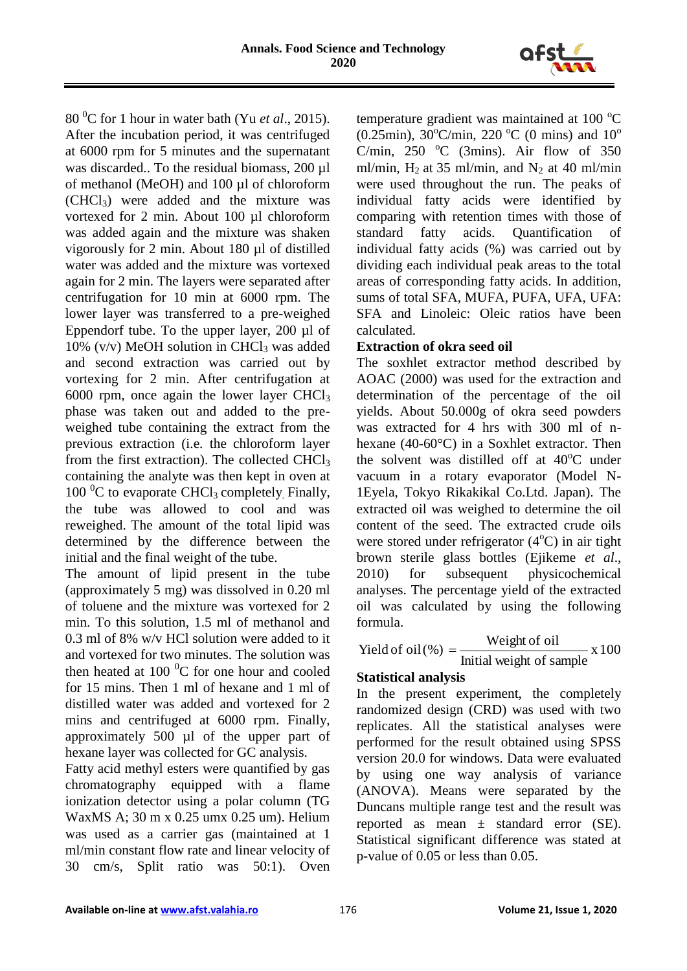

80 <sup>0</sup>C for 1 hour in water bath (Yu *et al*., 2015). After the incubation period, it was centrifuged at 6000 rpm for 5 minutes and the supernatant was discarded.. To the residual biomass, 200 µl of methanol (MeOH) and 100 µl of chloroform  $(CHCl<sub>3</sub>)$  were added and the mixture was vortexed for 2 min. About 100 µl chloroform was added again and the mixture was shaken vigorously for 2 min. About 180 µl of distilled water was added and the mixture was vortexed again for 2 min. The layers were separated after centrifugation for 10 min at 6000 rpm. The lower layer was transferred to a pre-weighed Eppendorf tube. To the upper layer, 200 µl of 10% (v/v) MeOH solution in CHCl<sub>3</sub> was added and second extraction was carried out by vortexing for 2 min. After centrifugation at 6000 rpm, once again the lower layer  $CHCl<sub>3</sub>$ phase was taken out and added to the preweighed tube containing the extract from the previous extraction (i.e. the chloroform layer from the first extraction). The collected  $CHCl<sub>3</sub>$ containing the analyte was then kept in oven at  $100<sup>0</sup>C$  to evaporate CHCl<sub>3</sub> completely. Finally, the tube was allowed to cool and was reweighed. The amount of the total lipid was determined by the difference between the initial and the final weight of the tube.

The amount of lipid present in the tube (approximately 5 mg) was dissolved in 0.20 ml of toluene and the mixture was vortexed for 2 min. To this solution, 1.5 ml of methanol and 0.3 ml of 8% w/v HCl solution were added to it and vortexed for two minutes. The solution was then heated at  $100<sup>0</sup>C$  for one hour and cooled for 15 mins. Then 1 ml of hexane and 1 ml of distilled water was added and vortexed for 2 mins and centrifuged at 6000 rpm. Finally, approximately 500 µl of the upper part of hexane layer was collected for GC analysis.

Fatty acid methyl esters were quantified by gas chromatography equipped with a flame ionization detector using a polar column (TG WaxMS A; 30 m x 0.25 umx 0.25 um). Helium was used as a carrier gas (maintained at 1 ml/min constant flow rate and linear velocity of 30 cm/s, Split ratio was 50:1). Oven temperature gradient was maintained at 100 $\degree$ C (0.25min),  $30^{\circ}$ C/min, 220 °C (0 mins) and  $10^{\circ}$ C/min,  $250 \text{ °C}$  (3mins). Air flow of 350 ml/min,  $H_2$  at 35 ml/min, and  $N_2$  at 40 ml/min were used throughout the run. The peaks of individual fatty acids were identified by comparing with retention times with those of standard fatty acids. Quantification of individual fatty acids (%) was carried out by dividing each individual peak areas to the total areas of corresponding fatty acids. In addition, sums of total SFA, MUFA, PUFA, UFA, UFA: SFA and Linoleic: Oleic ratios have been calculated.

# **Extraction of okra seed oil**

The soxhlet extractor method described by AOAC (2000) was used for the extraction and determination of the percentage of the oil yields. About 50.000g of okra seed powders was extracted for 4 hrs with 300 ml of nhexane (40-60°C) in a Soxhlet extractor. Then the solvent was distilled off at  $40^{\circ}$ C under vacuum in a rotary evaporator (Model N-1Eyela, Tokyo Rikakikal Co.Ltd. Japan). The extracted oil was weighed to determine the oil content of the seed. The extracted crude oils were stored under refrigerator  $(4^{\circ}C)$  in air tight brown sterile glass bottles (Ejikeme *et al*., 2010) for subsequent physicochemical analyses. The percentage yield of the extracted oil was calculated by using the following formula.

$$
Yield of oil (%) = \frac{Weight of oil}{Initial weight of sample} \times 100
$$

# **Statistical analysis**

In the present experiment, the completely randomized design (CRD) was used with two replicates. All the statistical analyses were performed for the result obtained using SPSS version 20.0 for windows. Data were evaluated by using one way analysis of variance (ANOVA). Means were separated by the Duncans multiple range test and the result was reported as mean ± standard error (SE). Statistical significant difference was stated at p-value of 0.05 or less than 0.05.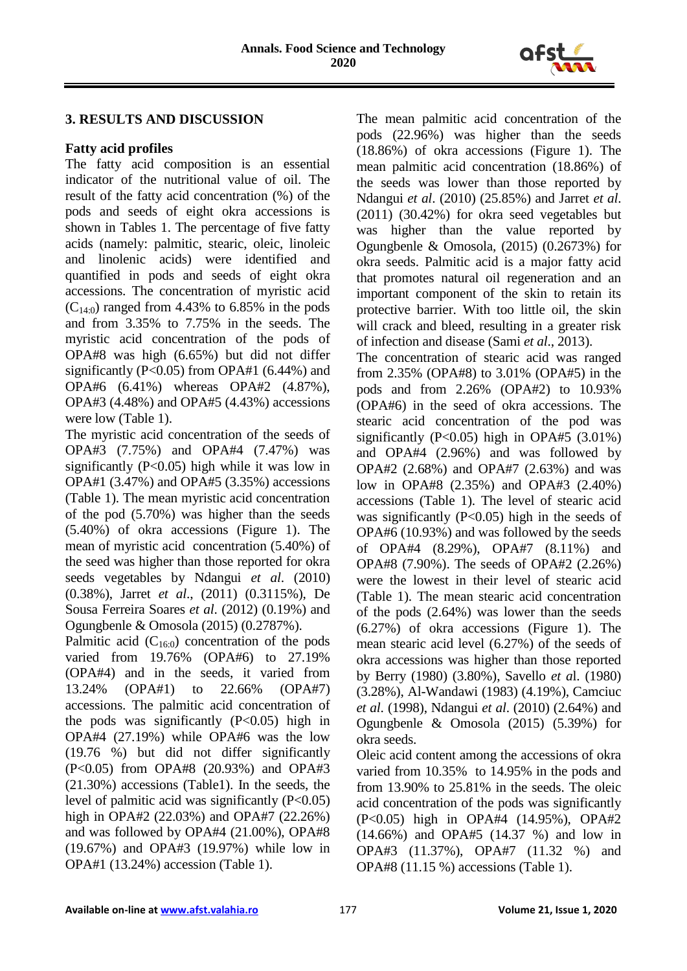

### **3. RESULTS AND DISCUSSION**

#### **Fatty acid profiles**

The fatty acid composition is an essential indicator of the nutritional value of oil. The result of the fatty acid concentration (%) of the pods and seeds of eight okra accessions is shown in Tables 1. The percentage of five fatty acids (namely: palmitic, stearic, oleic, linoleic and linolenic acids) were identified and quantified in pods and seeds of eight okra accessions. The concentration of myristic acid  $(C_{14:0})$  ranged from 4.43% to 6.85% in the pods and from 3.35% to 7.75% in the seeds. The myristic acid concentration of the pods of OPA#8 was high (6.65%) but did not differ significantly (P<0.05) from OPA#1 (6.44%) and OPA#6 (6.41%) whereas OPA#2 (4.87%), OPA#3 (4.48%) and OPA#5 (4.43%) accessions were low (Table 1).

The myristic acid concentration of the seeds of OPA#3 (7.75%) and OPA#4 (7.47%) was significantly (P<0.05) high while it was low in OPA#1 (3.47%) and OPA#5 (3.35%) accessions (Table 1). The mean myristic acid concentration of the pod (5.70%) was higher than the seeds (5.40%) of okra accessions (Figure 1). The mean of myristic acid concentration (5.40%) of the seed was higher than those reported for okra seeds vegetables by Ndangui *et al*. (2010) (0.38%), Jarret *et al*., (2011) (0.3115%), De Sousa Ferreira Soares *et al*. (2012) (0.19%) and Ogungbenle & Omosola (2015) (0.2787%).

Palmitic acid  $(C_{16:0})$  concentration of the pods varied from 19.76% (OPA#6) to 27.19% (OPA#4) and in the seeds, it varied from 13.24% (OPA#1) to 22.66% (OPA#7) accessions. The palmitic acid concentration of the pods was significantly  $(P<0.05)$  high in OPA#4 (27.19%) while OPA#6 was the low (19.76 %) but did not differ significantly (P<0.05) from OPA#8 (20.93%) and OPA#3 (21.30%) accessions (Table1). In the seeds, the level of palmitic acid was significantly  $(P<0.05)$ high in OPA#2 (22.03%) and OPA#7 (22.26%) and was followed by OPA#4 (21.00%), OPA#8 (19.67%) and OPA#3 (19.97%) while low in OPA#1 (13.24%) accession (Table 1).

The mean palmitic acid concentration of the pods (22.96%) was higher than the seeds (18.86%) of okra accessions (Figure 1). The mean palmitic acid concentration (18.86%) of the seeds was lower than those reported by Ndangui *et al*. (2010) (25.85%) and Jarret *et al*. (2011) (30.42%) for okra seed vegetables but was higher than the value reported by Ogungbenle & Omosola, (2015) (0.2673%) for okra seeds. Palmitic acid is a major fatty acid that promotes natural oil regeneration and an important component of the skin to retain its protective barrier. With too little oil, the skin will crack and bleed, resulting in a greater risk of infection and disease (Sami *et al*., 2013).

The concentration of stearic acid was ranged from 2.35% (OPA#8) to 3.01% (OPA#5) in the pods and from 2.26% (OPA#2) to 10.93% (OPA#6) in the seed of okra accessions. The stearic acid concentration of the pod was significantly  $(P<0.05)$  high in OPA#5  $(3.01\%)$ and OPA#4 (2.96%) and was followed by OPA#2 (2.68%) and OPA#7 (2.63%) and was low in OPA#8 (2.35%) and OPA#3 (2.40%) accessions (Table 1). The level of stearic acid was significantly  $(P<0.05)$  high in the seeds of OPA#6 (10.93%) and was followed by the seeds of OPA#4 (8.29%), OPA#7 (8.11%) and OPA#8 (7.90%). The seeds of OPA#2 (2.26%) were the lowest in their level of stearic acid (Table 1). The mean stearic acid concentration of the pods (2.64%) was lower than the seeds (6.27%) of okra accessions (Figure 1). The mean stearic acid level (6.27%) of the seeds of okra accessions was higher than those reported by Berry (1980) (3.80%), Savello *et a*l. (1980) (3.28%), Al-Wandawi (1983) (4.19%), Camciuc *et al*. (1998), Ndangui *et al*. (2010) (2.64%) and Ogungbenle & Omosola (2015) (5.39%) for okra seeds.

Oleic acid content among the accessions of okra varied from 10.35% to 14.95% in the pods and from 13.90% to 25.81% in the seeds. The oleic acid concentration of the pods was significantly (P<0.05) high in OPA#4 (14.95%), OPA#2 (14.66%) and OPA#5 (14.37 %) and low in OPA#3 (11.37%), OPA#7 (11.32 %) and OPA#8 (11.15 %) accessions (Table 1).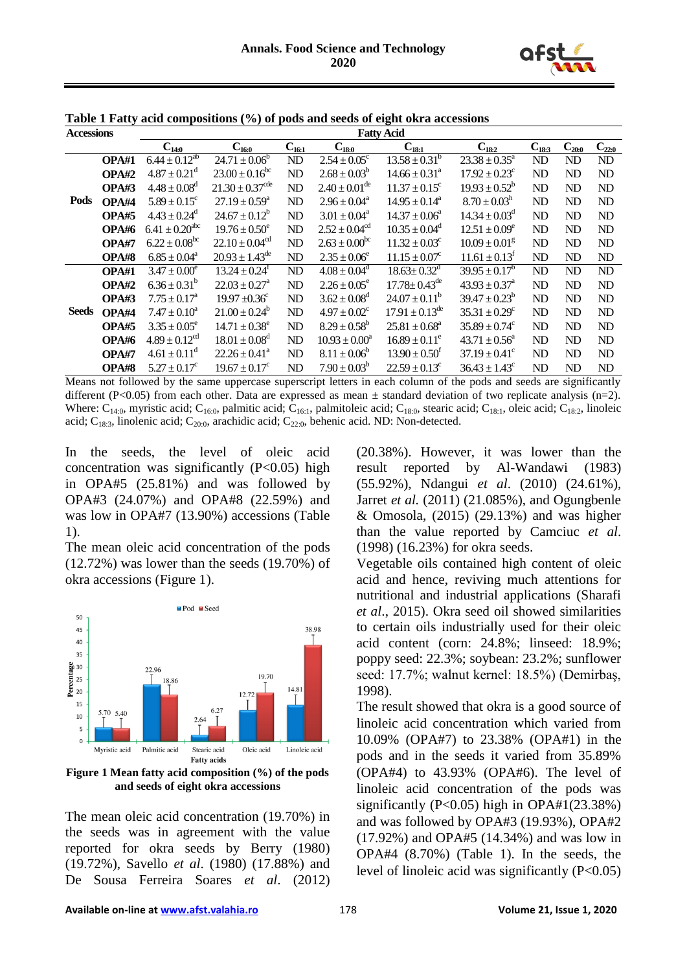

| <b>Accessions</b> |       | <b>Fatty Acid</b>              |                                 |            |                             |                                 |                               |            |            |                |  |  |
|-------------------|-------|--------------------------------|---------------------------------|------------|-----------------------------|---------------------------------|-------------------------------|------------|------------|----------------|--|--|
|                   |       | $C_{14:0}$                     | $C_{16:0}$                      | $C_{16:1}$ | $C_{18:0}$                  | $C_{18:1}$                      | $C_{18:2}$                    | $C_{18:3}$ | $C_{20:0}$ | $C_{22:0}$     |  |  |
|                   | OPA#1 | $6.44 \pm 0.12^{ab}$           | $24.71 \pm 0.06^b$              | ND         | $2.54 \pm 0.05^{\circ}$     | $13.58 \pm 0.31^{\overline{b}}$ | $23.38 \pm 0.35^a$            | ND         | ND         | ND             |  |  |
| Pods              | OPA#2 | $4.87 \pm 0.21^{\rm d}$        | $23.00 \pm 0.16^{\rm bc}$       | ND         | $2.68 \pm 0.03^b$           | $14.66 \pm 0.31^a$              | $17.92 \pm 0.23$ <sup>c</sup> | ND         | ND         | ND             |  |  |
|                   | OPA#3 | $4.48 \pm 0.08^d$              | $21.30 \pm 0.37$ <sup>cde</sup> | ND         | $2.40 \pm 0.01^{\text{de}}$ | $11.37 \pm 0.15^c$              | $19.93 \pm 0.52^b$            | ND         | ND         | N <sub>D</sub> |  |  |
|                   | OPA#4 | $5.89 \pm 0.15^c$              | $27.19 \pm 0.59^a$              | ND         | $2.96 \pm 0.04^a$           | $14.95 \pm 0.14^a$              | $8.70 \pm 0.03^{\rm h}$       | ND         | ND         | ND             |  |  |
|                   | OPA#5 | $4.43 \pm 0.24^d$              | $24.67 \pm 0.12^b$              | ND         | $3.01 \pm 0.04^a$           | $14.37 \pm 0.06^a$              | $14.34 \pm 0.03^d$            | ND         | ND         | ND             |  |  |
|                   | OPA#6 | $6.41 \pm 0.20$ <sup>abc</sup> | $19.76 \pm 0.50^e$              | ND         | $2.52 \pm 0.04^{cd}$        | $10.35 \pm 0.04^d$              | $12.51 \pm 0.09^e$            | ND         | ND         | ND             |  |  |
|                   | OPA#7 | $6.22 \pm 0.08^{bc}$           | $22.10 \pm 0.04^{\text{cd}}$    | ND         | $2.63 \pm 0.00^{\rm bc}$    | $11.32 \pm 0.03^c$              | $10.09 \pm 0.01$ <sup>g</sup> | ND         | ND         | ND             |  |  |
|                   | OPA#8 | $6.85 \pm 0.04^a$              | $20.93 \pm 1.43^{\text{de}}$    | ND         | $2.35 \pm 0.06^e$           | $11.15 \pm 0.07^c$              | $11.61 \pm 0.13$ <sup>f</sup> | ND         | ND         | ND             |  |  |
|                   | OPA#1 | $3.47 \pm 0.00^e$              | $13.24 \pm 0.24$ <sup>t</sup>   | ND         | $4.08 \pm 0.04^d$           | $18.63 \pm 0.32$ <sup>d</sup>   | $39.95 \pm 0.17^b$            | ND         | ND         | ND             |  |  |
|                   | OPA#2 | $6.36 \pm 0.31^b$              | $22.03 \pm 0.27^{\circ}$        | ND         | $2.26 \pm 0.05^{\circ}$     | $17.78 \pm 0.43^{\text{de}}$    | $43.93 \pm 0.37^{\circ}$      | ND         | ND         | ND             |  |  |
| <b>Seeds</b>      | OPA#3 | $7.75 \pm 0.17^{\rm a}$        | $19.97 \pm 0.36$ <sup>c</sup>   | ND         | $3.62 \pm 0.08^d$           | $24.07 \pm 0.11^b$              | $39.47 \pm 0.23^b$            | ND         | ND         | ND             |  |  |
|                   | OPA#4 | $7.47 \pm 0.10^a$              | $21.00 \pm 0.24^b$              | ND         | $4.97 \pm 0.02^c$           | $17.91 \pm 0.13^{\text{de}}$    | $35.31 \pm 0.29^c$            | ND         | ND         | ND             |  |  |
|                   | OPA#5 | $3.35 \pm 0.05^e$              | $14.71 \pm 0.38^e$              | ND         | $8.29 \pm 0.58^b$           | $25.81 \pm 0.68^a$              | $35.89 \pm 0.74$ <sup>c</sup> | ND         | ND         | N <sub>D</sub> |  |  |
|                   | OPA#6 | $4.89 \pm 0.12$ <sup>cd</sup>  | $18.01 \pm 0.08$ <sup>d</sup>   | ND         | $10.93 \pm 0.00^a$          | $16.89 \pm 0.11^e$              | $43.71 \pm 0.56^{\circ}$      | ND         | ND         | N <sub>D</sub> |  |  |
|                   | OPA#7 | $4.61 \pm 0.11^d$              | $22.26 \pm 0.41^a$              | ND         | $8.11 \pm 0.06^b$           | $13.90 \pm 0.50^{\text{f}}$     | $37.19 \pm 0.41^{\circ}$      | ND         | ND         | ND             |  |  |
|                   | OPA#8 | $5.27 \pm 0.17^c$              | $19.67 \pm 0.17^c$              | ND         | $7.90 \pm 0.03^b$           | $22.59 \pm 0.13^c$              | $36.43 \pm 1.43^c$            | ND         | ND         | ND             |  |  |

**Table 1 Fatty acid compositions (%) of pods and seeds of eight okra accessions**

Means not followed by the same uppercase superscript letters in each column of the pods and seeds are significantly different (P<0.05) from each other. Data are expressed as mean  $\pm$  standard deviation of two replicate analysis (n=2). Where:  $C_{14:0}$ , myristic acid;  $C_{16:0}$ , palmitic acid;  $C_{16:1}$ , palmitoleic acid;  $C_{18:0}$ , stearic acid;  $C_{18:1}$ , oleic acid;  $C_{18:2}$ , linoleic acid;  $C_{18:3}$ , linolenic acid;  $C_{20:0}$ , arachidic acid;  $C_{22:0}$ , behenic acid. ND: Non-detected.

In the seeds, the level of oleic acid concentration was significantly  $(P<0.05)$  high in OPA#5 (25.81%) and was followed by OPA#3 (24.07%) and OPA#8 (22.59%) and was low in OPA#7 (13.90%) accessions (Table 1).

The mean oleic acid concentration of the pods (12.72%) was lower than the seeds (19.70%) of okra accessions (Figure 1).



**Figure 1 Mean fatty acid composition (%) of the pods and seeds of eight okra accessions**

The mean oleic acid concentration (19.70%) in the seeds was in agreement with the value reported for okra seeds by Berry (1980) (19.72%), Savello *et al*. (1980) (17.88%) and De Sousa Ferreira Soares *et al*. (2012)

(20.38%). However, it was lower than the result reported by Al-Wandawi (1983) (55.92%), Ndangui *et al*. (2010) (24.61%), Jarret *et al.* (2011) (21.085%), and Ogungbenle & Omosola, (2015) (29.13%) and was higher than the value reported by Camciuc *et al*. (1998) (16.23%) for okra seeds.

Vegetable oils contained high content of oleic acid and hence, reviving much attentions for nutritional and industrial applications (Sharafi *et al*., 2015). Okra seed oil showed similarities to certain oils industrially used for their oleic acid content (corn: 24.8%; linseed: 18.9%; poppy seed: 22.3%; soybean: 23.2%; sunflower seed: 17.7%; walnut kernel: 18.5%) (Demirbaş, 1998).

The result showed that okra is a good source of linoleic acid concentration which varied from 10.09% (OPA#7) to 23.38% (OPA#1) in the pods and in the seeds it varied from 35.89% (OPA#4) to 43.93% (OPA#6). The level of linoleic acid concentration of the pods was significantly (P<0.05) high in OPA#1(23.38%) and was followed by OPA#3 (19.93%), OPA#2 (17.92%) and OPA#5 (14.34%) and was low in OPA#4 (8.70%) (Table 1). In the seeds, the level of linoleic acid was significantly  $(P<0.05)$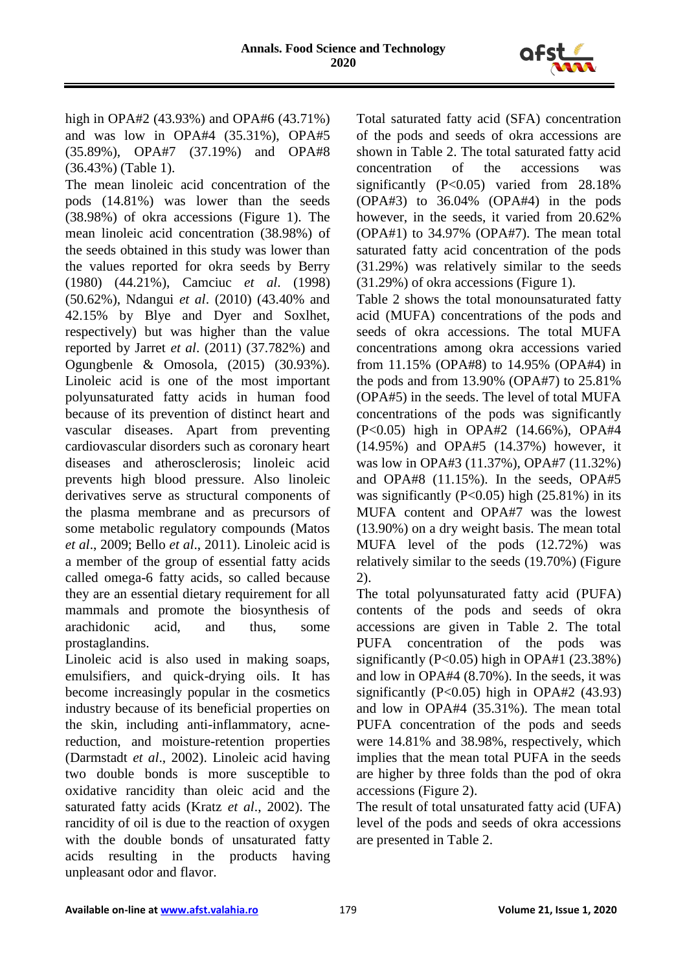

high in OPA#2 (43.93%) and OPA#6 (43.71%) and was low in OPA#4 (35.31%), OPA#5 (35.89%), OPA#7 (37.19%) and OPA#8 (36.43%) (Table 1).

The mean linoleic acid concentration of the pods (14.81%) was lower than the seeds (38.98%) of okra accessions (Figure 1). The mean linoleic acid concentration (38.98%) of the seeds obtained in this study was lower than the values reported for okra seeds by Berry (1980) (44.21%), Camciuc *et al*. (1998) (50.62%), Ndangui *et al*. (2010) (43.40% and 42.15% by Blye and Dyer and Soxlhet, respectively) but was higher than the value reported by Jarret *et al*. (2011) (37.782%) and Ogungbenle & Omosola, (2015) (30.93%). Linoleic acid is one of the most important polyunsaturated fatty acids in human food because of its prevention of distinct heart and vascular diseases. Apart from preventing cardiovascular disorders such as coronary heart diseases and atherosclerosis; linoleic acid prevents high blood pressure. Also linoleic derivatives serve as structural components of the plasma membrane and as precursors of some metabolic regulatory compounds (Matos *et al*., 2009; Bello *et al*., 2011). Linoleic acid is a member of the group of essential fatty acids called omega-6 fatty acids, so called because they are an essential dietary requirement for all mammals and promote the biosynthesis of arachidonic acid, and thus, some prostaglandins.

Linoleic acid is also used in making soaps, emulsifiers, and quick-drying oils. It has become increasingly popular in the cosmetics industry because of its beneficial properties on the skin, including anti-inflammatory, acnereduction, and moisture-retention properties (Darmstadt *et al*., 2002). Linoleic acid having two double bonds is more susceptible to oxidative rancidity than oleic acid and the saturated fatty acids (Kratz *et al*., 2002). The rancidity of oil is due to the reaction of oxygen with the double bonds of unsaturated fatty acids resulting in the products having unpleasant odor and flavor.

Total saturated fatty acid (SFA) concentration of the pods and seeds of okra accessions are shown in Table 2. The total saturated fatty acid concentration of the accessions was significantly (P<0.05) varied from 28.18% (OPA#3) to 36.04% (OPA#4) in the pods however, in the seeds, it varied from 20.62% (OPA#1) to 34.97% (OPA#7). The mean total saturated fatty acid concentration of the pods (31.29%) was relatively similar to the seeds (31.29%) of okra accessions (Figure 1).

Table 2 shows the total monounsaturated fatty acid (MUFA) concentrations of the pods and seeds of okra accessions. The total MUFA concentrations among okra accessions varied from 11.15% (OPA#8) to 14.95% (OPA#4) in the pods and from 13.90% (OPA#7) to 25.81% (OPA#5) in the seeds. The level of total MUFA concentrations of the pods was significantly (P<0.05) high in OPA#2 (14.66%), OPA#4 (14.95%) and OPA#5 (14.37%) however, it was low in OPA#3 (11.37%), OPA#7 (11.32%) and OPA#8 (11.15%). In the seeds, OPA#5 was significantly  $(P<0.05)$  high  $(25.81\%)$  in its MUFA content and OPA#7 was the lowest (13.90%) on a dry weight basis. The mean total MUFA level of the pods (12.72%) was relatively similar to the seeds (19.70%) (Figure 2).

The total polyunsaturated fatty acid (PUFA) contents of the pods and seeds of okra accessions are given in Table 2. The total PUFA concentration of the pods was significantly (P<0.05) high in OPA#1 (23.38%) and low in OPA#4 (8.70%). In the seeds, it was significantly  $(P<0.05)$  high in OPA#2  $(43.93)$ and low in OPA#4 (35.31%). The mean total PUFA concentration of the pods and seeds were 14.81% and 38.98%, respectively, which implies that the mean total PUFA in the seeds are higher by three folds than the pod of okra accessions (Figure 2).

The result of total unsaturated fatty acid (UFA) level of the pods and seeds of okra accessions are presented in Table 2.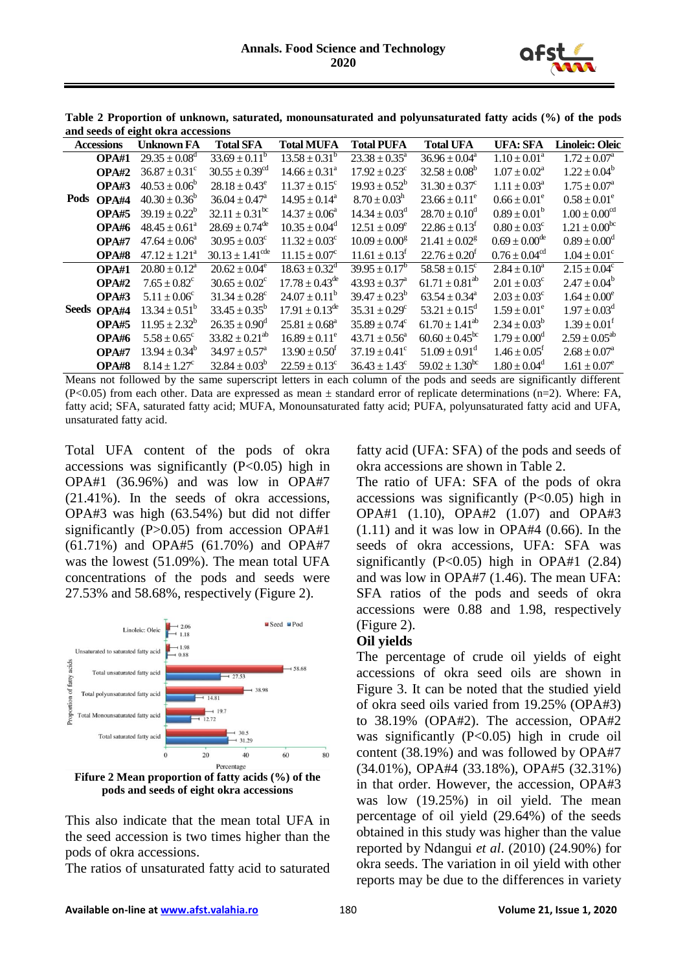

| and secus of eight one a accessions |             |                          |                                |                              |                               |                               |                               |                               |  |  |
|-------------------------------------|-------------|--------------------------|--------------------------------|------------------------------|-------------------------------|-------------------------------|-------------------------------|-------------------------------|--|--|
| <b>Accessions</b>                   |             | <b>Unknown FA</b>        | <b>Total SFA</b>               | <b>Total MUFA</b>            | <b>Total PUFA</b>             | <b>Total UFA</b>              | <b>UFA: SFA</b>               | <b>Linoleic: Oleic</b>        |  |  |
|                                     | OPA#1       | $29.35 \pm 0.08^d$       | $33.69 \pm 0.11^b$             | $13.58 \pm 0.31^b$           | $23.38 \pm 0.35^a$            | $36.96 \pm 0.04^a$            | $1.10 \pm 0.01^a$             | $1.72 \pm 0.07^{\rm a}$       |  |  |
|                                     | OPA#2       | $36.87 \pm 0.31^{\circ}$ | $30.55 \pm 0.39$ <sup>cd</sup> | $14.66 \pm 0.31^{\circ}$     | $17.92 \pm 0.23$ <sup>c</sup> | $32.58 \pm 0.08^b$            | $1.07 \pm 0.02^a$             | $1.22 \pm 0.04^b$             |  |  |
|                                     | OPA#3       | $40.53 \pm 0.06^{\circ}$ | $28.18 \pm 0.43^e$             | $11.37 \pm 0.15^{\circ}$     | $19.93 \pm 0.52^b$            | $31.30 \pm 0.37^c$            | $1.11 \pm 0.03^a$             | $1.75 \pm 0.07^{\rm a}$       |  |  |
| Pods                                | OPA#4       | $40.30 \pm 0.36^{\circ}$ | $36.04 \pm 0.47^{\circ}$       | $14.95 \pm 0.14^{\text{a}}$  | $8.70 \pm 0.03^{\rm h}$       | $23.66 \pm 0.11^e$            | $0.66 \pm 0.01^e$             | $0.58 \pm 0.01^e$             |  |  |
|                                     | OPA#5       | $39.19 \pm 0.22^b$       | $32.11 \pm 0.31^{\rm bc}$      | $14.37 \pm 0.06^a$           | $14.34 \pm 0.03^d$            | $28.70 \pm 0.10^{\circ}$      | $0.89 \pm 0.01^b$             | $1.00 \pm 0.00$ <sup>cd</sup> |  |  |
|                                     | OPA#6       | $48.45 \pm 0.61^a$       | $28.69 \pm 0.74^{\text{de}}$   | $10.35 \pm 0.04^d$           | $12.51 \pm 0.09^e$            | $22.86 \pm 0.13^t$            | $0.80 \pm 0.03^{\circ}$       | $1.21 \pm 0.00^{bc}$          |  |  |
|                                     | OPA#7       | $47.64 \pm 0.06^{\circ}$ | $30.95 \pm 0.03^{\circ}$       | $11.32 \pm 0.03^{\circ}$     | $10.09 \pm 0.00^8$            | $21.41 \pm 0.02$ <sup>g</sup> | $0.69 \pm 0.00^{\text{de}}$   | $0.89 \pm 0.00^d$             |  |  |
|                                     | OPA#8       | $47.12 \pm 1.21^a$       | $30.13 \pm 1.41^{\text{cde}}$  | $11.15 \pm 0.07^c$           | $11.61 \pm 0.13$ <sup>f</sup> | $22.76 \pm 0.20^f$            | $0.76 \pm 0.04$ <sup>cd</sup> | $1.04 \pm 0.01^c$             |  |  |
|                                     | OPA#1       | $20.80 \pm 0.12^a$       | $20.62 \pm 0.04^e$             | $18.63 \pm 0.32^{\text{d}}$  | $39.95 \pm 0.17^b$            | $58.58 \pm 0.15^{\circ}$      | $2.84 \pm 0.10^a$             | $2.15 \pm 0.04^c$             |  |  |
|                                     | OPA#2       | $7.65 \pm 0.82^c$        | $30.65 \pm 0.02^{\circ}$       | $17.78 \pm 0.43^{\text{de}}$ | $43.93 \pm 0.37^{\text{a}}$   | $61.71 \pm 0.81^{ab}$         | $2.01 \pm 0.03^c$             | $2.47 \pm 0.04^b$             |  |  |
|                                     | OPA#3       | $5.11 \pm 0.06^{\circ}$  | $31.34 \pm 0.28^{\circ}$       | $24.07 \pm 0.11^b$           | $39.47 \pm 0.23^b$            | $63.54 \pm 0.34^{\circ}$      | $2.03 \pm 0.03^{\circ}$       | $1.64 \pm 0.00^e$             |  |  |
|                                     | Seeds OPA#4 | $13.34 \pm 0.51^b$       | $33.45 \pm 0.35^b$             | $17.91 \pm 0.13^{\text{de}}$ | $35.31 \pm 0.29^c$            | $53.21 \pm 0.15^{\circ}$      | $1.59 \pm 0.01^e$             | $1.97 \pm 0.03^d$             |  |  |
|                                     | OPA#5       | $11.95 \pm 2.32^b$       | $26.35 \pm 0.90^{\rm d}$       | $25.81 \pm 0.68^a$           | $35.89 \pm 0.74^{\circ}$      | $61.70 \pm 1.41^{ab}$         | $2.34 \pm 0.03^b$             | $1.39 \pm 0.01^f$             |  |  |
|                                     | OPA#6       | $5.58 \pm 0.65^{\circ}$  | $33.82 \pm 0.21^{ab}$          | $16.89 \pm 0.11^e$           | $43.71 \pm 0.56^a$            | $60.60 \pm 0.45^{\rm bc}$     | $1.79 \pm 0.00^{\rm d}$       | $2.59 \pm 0.05^{ab}$          |  |  |
|                                     | OPA#7       | $13.94 \pm 0.34^b$       | $34.97 \pm 0.57^{\text{a}}$    | $13.90 \pm 0.50^{\text{t}}$  | $37.19 \pm 0.41^{\circ}$      | $51.09 \pm 0.91$ <sup>d</sup> | $1.46 \pm 0.05$ <sup>t</sup>  | $2.68 \pm 0.07^a$             |  |  |
|                                     | OPA#8       | $8.14 \pm 1.27^c$        | $32.84 \pm 0.03^b$             | $22.59 \pm 0.13^c$           | $36.43 \pm 1.43^c$            | $59.02 \pm 1.30^{\rm bc}$     | $1.80 \pm 0.04^d$             | $1.61 \pm 0.07^e$             |  |  |

**Table 2 Proportion of unknown, saturated, monounsaturated and polyunsaturated fatty acids (%) of the pods and seeds of eight okra accessions**

Means not followed by the same superscript letters in each column of the pods and seeds are significantly different  $(P<0.05)$  from each other. Data are expressed as mean  $\pm$  standard error of replicate determinations (n=2). Where: FA, fatty acid; SFA, saturated fatty acid; MUFA, Monounsaturated fatty acid; PUFA, polyunsaturated fatty acid and UFA, unsaturated fatty acid.

Total UFA content of the pods of okra accessions was significantly (P<0.05) high in OPA#1 (36.96%) and was low in OPA#7 (21.41%). In the seeds of okra accessions, OPA#3 was high (63.54%) but did not differ significantly (P>0.05) from accession OPA#1 (61.71%) and OPA#5 (61.70%) and OPA#7 was the lowest (51.09%). The mean total UFA concentrations of the pods and seeds were 27.53% and 58.68%, respectively (Figure 2).



**Fifure 2 Mean proportion of fatty acids (%) of the pods and seeds of eight okra accessions**

This also indicate that the mean total UFA in the seed accession is two times higher than the pods of okra accessions.

The ratios of unsaturated fatty acid to saturated

fatty acid (UFA: SFA) of the pods and seeds of okra accessions are shown in Table 2.

The ratio of UFA: SFA of the pods of okra accessions was significantly (P<0.05) high in OPA#1 (1.10), OPA#2 (1.07) and OPA#3  $(1.11)$  and it was low in OPA#4  $(0.66)$ . In the seeds of okra accessions, UFA: SFA was significantly  $(P<0.05)$  high in OPA#1  $(2.84)$ and was low in OPA#7 (1.46). The mean UFA: SFA ratios of the pods and seeds of okra accessions were 0.88 and 1.98, respectively (Figure 2).

#### **Oil yields**

The percentage of crude oil yields of eight accessions of okra seed oils are shown in Figure 3. It can be noted that the studied yield of okra seed oils varied from 19.25% (OPA#3) to 38.19% (OPA#2). The accession, OPA#2 was significantly (P<0.05) high in crude oil content (38.19%) and was followed by OPA#7 (34.01%), OPA#4 (33.18%), OPA#5 (32.31%) in that order. However, the accession, OPA#3 was low (19.25%) in oil yield. The mean percentage of oil yield (29.64%) of the seeds obtained in this study was higher than the value reported by Ndangui *et al*. (2010) (24.90%) for okra seeds. The variation in oil yield with other reports may be due to the differences in variety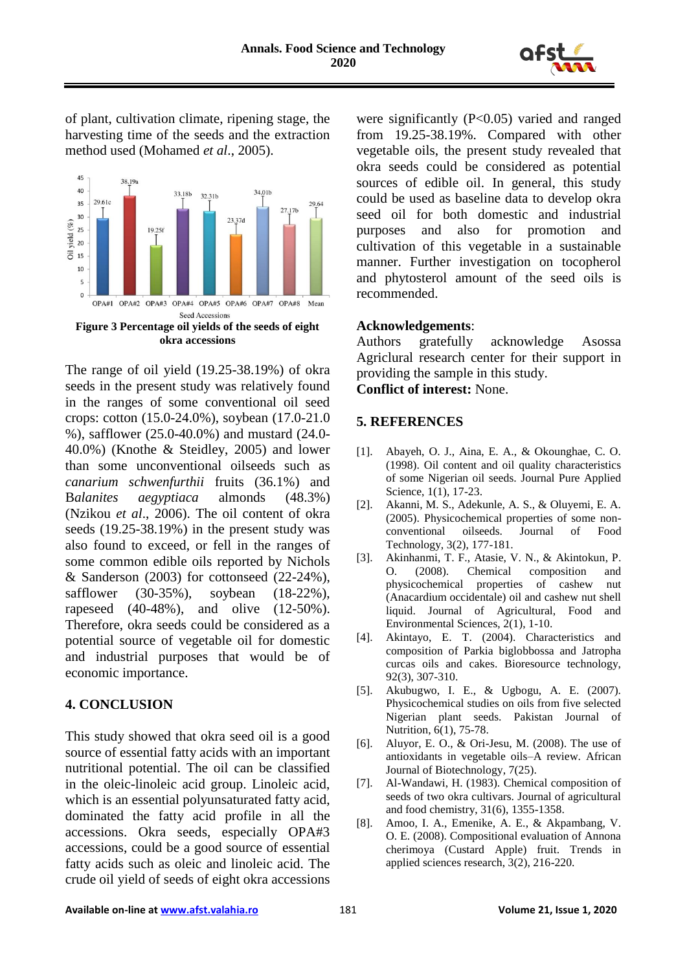

of plant, cultivation climate, ripening stage, the harvesting time of the seeds and the extraction method used (Mohamed *et al*., 2005).



The range of oil yield (19.25-38.19%) of okra seeds in the present study was relatively found in the ranges of some conventional oil seed crops: cotton (15.0-24.0%), soybean (17.0-21.0 %), safflower (25.0-40.0%) and mustard (24.0- 40.0%) (Knothe & Steidley, 2005) and lower than some unconventional oilseeds such as *canarium schwenfurthii* fruits (36.1%) and B*alanites aegyptiaca* almonds (48.3%) (Nzikou *et al*., 2006). The oil content of okra seeds (19.25-38.19%) in the present study was also found to exceed, or fell in the ranges of some common edible oils reported by Nichols & Sanderson  $(2003)$  for cottonseed  $(22-24\%)$ , safflower (30-35%), soybean (18-22%), rapeseed (40-48%), and olive (12-50%). Therefore, okra seeds could be considered as a potential source of vegetable oil for domestic and industrial purposes that would be of economic importance.

#### **4. CONCLUSION**

This study showed that okra seed oil is a good source of essential fatty acids with an important nutritional potential. The oil can be classified in the oleic-linoleic acid group. Linoleic acid, which is an essential polyunsaturated fatty acid, dominated the fatty acid profile in all the accessions. Okra seeds, especially OPA#3 accessions, could be a good source of essential fatty acids such as oleic and linoleic acid. The crude oil yield of seeds of eight okra accessions

were significantly (P<0.05) varied and ranged from 19.25-38.19%. Compared with other vegetable oils, the present study revealed that okra seeds could be considered as potential sources of edible oil. In general, this study could be used as baseline data to develop okra seed oil for both domestic and industrial purposes and also for promotion and cultivation of this vegetable in a sustainable manner. Further investigation on tocopherol and phytosterol amount of the seed oils is recommended.

#### **Acknowledgements**:

Authors gratefully acknowledge Asossa Agriclural research center for their support in providing the sample in this study.

**Conflict of interest:** None.

#### **5. REFERENCES**

- [1]. Abayeh, O. J., Aina, E. A., & Okounghae, C. O. (1998). Oil content and oil quality characteristics of some Nigerian oil seeds. Journal Pure Applied Science, 1(1), 17-23.
- [2]. Akanni, M. S., Adekunle, A. S., & Oluyemi, E. A. (2005). Physicochemical properties of some nonconventional oilseeds. Journal of Food Technology, 3(2), 177-181.
- [3]. Akinhanmi, T. F., Atasie, V. N., & Akintokun, P. O. (2008). Chemical composition and physicochemical properties of cashew nut (Anacardium occidentale) oil and cashew nut shell liquid. Journal of Agricultural, Food and Environmental Sciences, 2(1), 1-10.
- [4]. Akintayo, E. T. (2004). Characteristics and composition of Parkia biglobbossa and Jatropha curcas oils and cakes. Bioresource technology, 92(3), 307-310.
- [5]. Akubugwo, I. E., & Ugbogu, A. E. (2007). Physicochemical studies on oils from five selected Nigerian plant seeds. Pakistan Journal of Nutrition, 6(1), 75-78.
- [6]. Aluyor, E. O., & Ori-Jesu, M. (2008). The use of antioxidants in vegetable oils–A review. African Journal of Biotechnology, 7(25).
- [7]. Al-Wandawi, H. (1983). Chemical composition of seeds of two okra cultivars. Journal of agricultural and food chemistry, 31(6), 1355-1358.
- [8]. Amoo, I. A., Emenike, A. E., & Akpambang, V. O. E. (2008). Compositional evaluation of Annona cherimoya (Custard Apple) fruit. Trends in applied sciences research, 3(2), 216-220.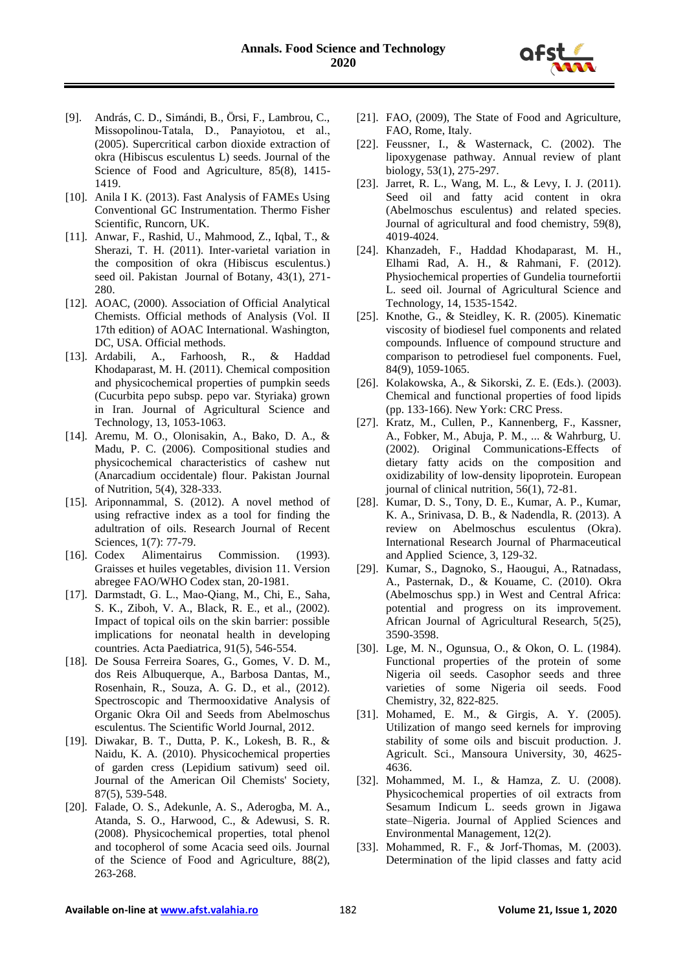

- [9]. András, C. D., Simándi, B., Örsi, F., Lambrou, C., Missopolinou‐Tatala, D., Panayiotou, et al., (2005). Supercritical carbon dioxide extraction of okra (Hibiscus esculentus L) seeds. Journal of the Science of Food and Agriculture, 85(8), 1415-1419.
- [10]. Anila I K. (2013). Fast Analysis of FAMEs Using Conventional GC Instrumentation. Thermo Fisher Scientific, Runcorn, UK.
- [11]. Anwar, F., Rashid, U., Mahmood, Z., Iqbal, T., & Sherazi, T. H. (2011). Inter-varietal variation in the composition of okra (Hibiscus esculentus.) seed oil. Pakistan Journal of Botany, 43(1), 271- 280.
- [12]. AOAC, (2000). Association of Official Analytical Chemists. Official methods of Analysis (Vol. II 17th edition) of AOAC International. Washington, DC, USA. Official methods.
- [13]. Ardabili, A., Farhoosh, R., & Haddad Khodaparast, M. H. (2011). Chemical composition and physicochemical properties of pumpkin seeds (Cucurbita pepo subsp. pepo var. Styriaka) grown in Iran. Journal of Agricultural Science and Technology, 13, 1053-1063.
- [14]. Aremu, M. O., Olonisakin, A., Bako, D. A., & Madu, P. C. (2006). Compositional studies and physicochemical characteristics of cashew nut (Anarcadium occidentale) flour. Pakistan Journal of Nutrition, 5(4), 328-333.
- [15]. Ariponnammal, S. (2012). A novel method of using refractive index as a tool for finding the adultration of oils. Research Journal of Recent Sciences, 1(7): 77-79.
- [16]. Codex Alimentairus Commission. (1993). Graisses et huiles vegetables, division 11. Version abregee FAO/WHO Codex stan, 20-1981.
- [17]. Darmstadt, G. L., Mao‐Qiang, M., Chi, E., Saha, S. K., Ziboh, V. A., Black, R. E., et al., (2002). Impact of topical oils on the skin barrier: possible implications for neonatal health in developing countries. Acta Paediatrica, 91(5), 546-554.
- [18]. De Sousa Ferreira Soares, G., Gomes, V. D. M., dos Reis Albuquerque, A., Barbosa Dantas, M., Rosenhain, R., Souza, A. G. D., et al., (2012). Spectroscopic and Thermooxidative Analysis of Organic Okra Oil and Seeds from Abelmoschus esculentus. The Scientific World Journal, 2012.
- [19]. Diwakar, B. T., Dutta, P. K., Lokesh, B. R., & Naidu, K. A. (2010). Physicochemical properties of garden cress (Lepidium sativum) seed oil. Journal of the American Oil Chemists' Society, 87(5), 539-548.
- [20]. Falade, O. S., Adekunle, A. S., Aderogba, M. A., Atanda, S. O., Harwood, C., & Adewusi, S. R. (2008). Physicochemical properties, total phenol and tocopherol of some Acacia seed oils. Journal of the Science of Food and Agriculture, 88(2), 263-268.
- [21]. FAO, (2009), The State of Food and Agriculture, FAO, Rome, Italy.
- [22]. Feussner, I., & Wasternack, C. (2002). The lipoxygenase pathway. Annual review of plant biology, 53(1), 275-297.
- [23]. Jarret, R. L., Wang, M. L., & Levy, I. J. (2011). Seed oil and fatty acid content in okra (Abelmoschus esculentus) and related species. Journal of agricultural and food chemistry, 59(8), 4019-4024.
- [24]. Khanzadeh, F., Haddad Khodaparast, M. H., Elhami Rad, A. H., & Rahmani, F. (2012). Physiochemical properties of Gundelia tournefortii L. seed oil. Journal of Agricultural Science and Technology, 14, 1535-1542.
- [25]. Knothe, G., & Steidley, K. R. (2005). Kinematic viscosity of biodiesel fuel components and related compounds. Influence of compound structure and comparison to petrodiesel fuel components. Fuel, 84(9), 1059-1065.
- [26]. Kolakowska, A., & Sikorski, Z. E. (Eds.). (2003). Chemical and functional properties of food lipids (pp. 133-166). New York: CRC Press.
- [27]. Kratz, M., Cullen, P., Kannenberg, F., Kassner, A., Fobker, M., Abuja, P. M., ... & Wahrburg, U. (2002). Original Communications-Effects of dietary fatty acids on the composition and oxidizability of low-density lipoprotein. European journal of clinical nutrition, 56(1), 72-81.
- [28]. Kumar, D. S., Tony, D. E., Kumar, A. P., Kumar, K. A., Srinivasa, D. B., & Nadendla, R. (2013). A review on Abelmoschus esculentus (Okra). International Research Journal of Pharmaceutical and Applied Science, 3, 129-32.
- [29]. Kumar, S., Dagnoko, S., Haougui, A., Ratnadass, A., Pasternak, D., & Kouame, C. (2010). Okra (Abelmoschus spp.) in West and Central Africa: potential and progress on its improvement. African Journal of Agricultural Research, 5(25), 3590-3598.
- [30]. Lge, M. N., Ogunsua, O., & Okon, O. L. (1984). Functional properties of the protein of some Nigeria oil seeds. Casophor seeds and three varieties of some Nigeria oil seeds. Food Chemistry, 32, 822-825.
- [31]. Mohamed, E. M., & Girgis, A. Y. (2005). Utilization of mango seed kernels for improving stability of some oils and biscuit production. J. Agricult. Sci., Mansoura University, 30, 4625- 4636.
- [32]. Mohammed, M. I., & Hamza, Z. U. (2008). Physicochemical properties of oil extracts from Sesamum Indicum L. seeds grown in Jigawa state–Nigeria. Journal of Applied Sciences and Environmental Management, 12(2).
- [33]. Mohammed, R. F., & Jorf-Thomas, M. (2003). Determination of the lipid classes and fatty acid